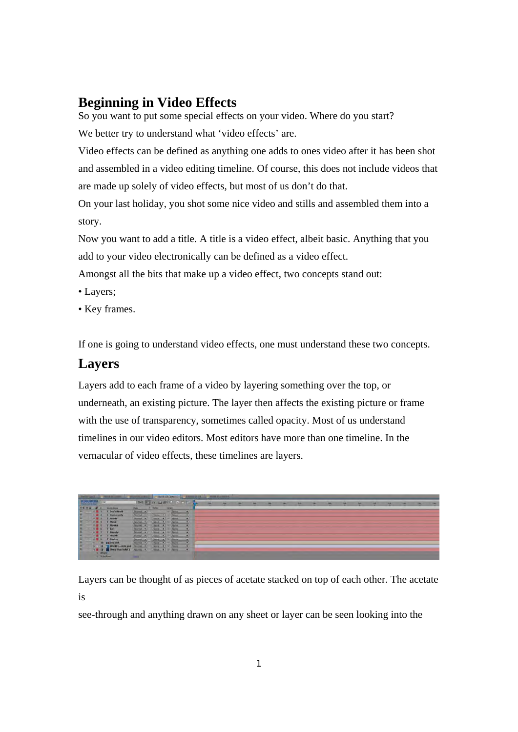## **Beginning in Video Effects**

So you want to put some special effects on your video. Where do you start? We better try to understand what 'video effects' are.

Video effects can be defined as anything one adds to ones video after it has been shot and assembled in a video editing timeline. Of course, this does not include videos that are made up solely of video effects, but most of us don't do that.

On your last holiday, you shot some nice video and stills and assembled them into a story.

Now you want to add a title. A title is a video effect, albeit basic. Anything that you add to your video electronically can be defined as a video effect.

Amongst all the bits that make up a video effect, two concepts stand out:

- Layers;
- Key frames.

If one is going to understand video effects, one must understand these two concepts.

#### **Layers**

Layers add to each frame of a video by layering something over the top, or underneath, an existing picture. The layer then affects the existing picture or frame with the use of transparency, sometimes called opacity. Most of us understand timelines in our video editors. Most editors have more than one timeline. In the vernacular of video effects, these timelines are layers.

| <b>Revised Convert   Annual Print, Model Schools</b> |                 |                  |                                                     |                                                                                                |                |  |                                                                                                                                                                                         |                          |  |  |  |  |  |  |  |  |  |  |  |
|------------------------------------------------------|-----------------|------------------|-----------------------------------------------------|------------------------------------------------------------------------------------------------|----------------|--|-----------------------------------------------------------------------------------------------------------------------------------------------------------------------------------------|--------------------------|--|--|--|--|--|--|--|--|--|--|--|
| $-400,00,00,00$                                      |                 | <b>ID</b>        |                                                     | <b>PERMIT AND PRINTING</b>                                                                     |                |  |                                                                                                                                                                                         |                          |  |  |  |  |  |  |  |  |  |  |  |
|                                                      |                 | $\sim$           | <b>Grown Simon</b>                                  | -                                                                                              | <b>STRAKE</b>  |  | <b>Barnet</b>                                                                                                                                                                           |                          |  |  |  |  |  |  |  |  |  |  |  |
| œ                                                    |                 |                  | - H 1 T Jury Hold                                   | <b>North Car</b>                                                                               |                |  | the plane and the                                                                                                                                                                       |                          |  |  |  |  |  |  |  |  |  |  |  |
| ×                                                    |                 |                  | I Commenty.                                         | $\frac{1}{2} \left( \frac{1}{2} \right) \left( \frac{1}{2} \right) \left( \frac{1}{2} \right)$ |                |  | <b>Now # # Now</b>                                                                                                                                                                      |                          |  |  |  |  |  |  |  |  |  |  |  |
| ×                                                    |                 | <b>KM 3</b>      | I mode                                              | Story #                                                                                        | Amer. #        |  | <b>SALE</b>                                                                                                                                                                             |                          |  |  |  |  |  |  |  |  |  |  |  |
| œ                                                    |                 | 53.4             | T HALE                                              | <b>NUMBER</b>                                                                                  | <b>Nate #1</b> |  | <b>NOR</b>                                                                                                                                                                              | $\overline{\phantom{a}}$ |  |  |  |  |  |  |  |  |  |  |  |
|                                                      |                 | 18.5             | T Minites                                           | <b>Nome: +</b>                                                                                 | April .        |  | <b>Clara</b>                                                                                                                                                                            |                          |  |  |  |  |  |  |  |  |  |  |  |
|                                                      |                 | .                | 144                                                 | Northern M.                                                                                    | Sizes (19)     |  | 15                                                                                                                                                                                      |                          |  |  |  |  |  |  |  |  |  |  |  |
|                                                      |                 | . .              | I Benisty                                           | <b>BARBARA (W)</b>                                                                             | <b>SHOW OF</b> |  |                                                                                                                                                                                         | ×                        |  |  |  |  |  |  |  |  |  |  |  |
|                                                      |                 |                  | T Health                                            | <b>Sumple #1</b>                                                                               |                |  | $\label{eq:1} \begin{array}{lll} \left\{ \frac{d\mu}{d\mu} \left( \frac{\partial \mu}{\partial \mu} \right) \right\} & = & \frac{1}{2} \frac{d\mu}{d\mu} \frac{d\mu}{d\mu} \end{array}$ | - 11                     |  |  |  |  |  |  |  |  |  |  |  |
|                                                      |                 |                  | <b>B 9 T Postry</b>                                 | <b>North Car</b>                                                                               | April 18       |  | <b>W. Auror</b>                                                                                                                                                                         | $\sim$                   |  |  |  |  |  |  |  |  |  |  |  |
|                                                      |                 |                  | 10 El brezonk                                       | <b>Normal (e)</b>                                                                              |                |  | $\frac{1}{2} \left[ \frac{1}{2} \log \left( \frac{1}{\sqrt{2}} \right) \right] \approx \frac{1}{2} \left[ \frac{1}{2} \log \left( \frac{1}{\sqrt{2}} \right) \right]$                   |                          |  |  |  |  |  |  |  |  |  |  |  |
|                                                      |                 |                  | 11 3 World Gundale and                              | <b>Nomal #1</b>                                                                                |                |  | North and for North                                                                                                                                                                     | $\sim$                   |  |  |  |  |  |  |  |  |  |  |  |
| ▬                                                    |                 |                  | E 12 B Drep like Sold 1   Farmy #   Mars #   Mars # |                                                                                                |                |  |                                                                                                                                                                                         |                          |  |  |  |  |  |  |  |  |  |  |  |
|                                                      |                 | <b>E</b> IPTpete |                                                     |                                                                                                |                |  |                                                                                                                                                                                         |                          |  |  |  |  |  |  |  |  |  |  |  |
|                                                      | <b>Chambers</b> |                  |                                                     |                                                                                                |                |  |                                                                                                                                                                                         |                          |  |  |  |  |  |  |  |  |  |  |  |

Layers can be thought of as pieces of acetate stacked on top of each other. The acetate is

see-through and anything drawn on any sheet or layer can be seen looking into the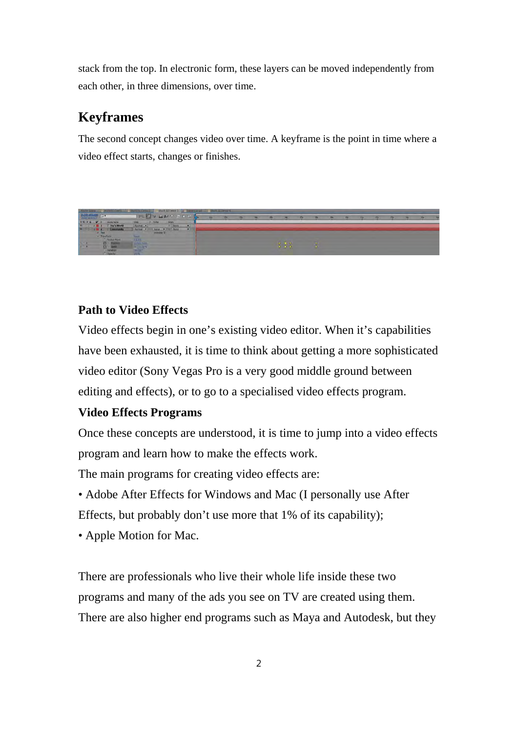stack from the top. In electronic form, these layers can be moved independently from each other, in three dimensions, over time.

# **Keyframes**

The second concept changes video over time. A keyframe is the point in time where a video effect starts, changes or finishes.



### **Path to Video Effects**

Video effects begin in one's existing video editor. When it's capabilities have been exhausted, it is time to think about getting a more sophisticated video editor (Sony Vegas Pro is a very good middle ground between editing and effects), or to go to a specialised video effects program.

### **Video Effects Programs**

Once these concepts are understood, it is time to jump into a video effects program and learn how to make the effects work.

The main programs for creating video effects are:

- Adobe After Effects for Windows and Mac (I personally use After Effects, but probably don't use more that 1% of its capability);
- Apple Motion for Mac.

There are professionals who live their whole life inside these two programs and many of the ads you see on TV are created using them. There are also higher end programs such as Maya and Autodesk, but they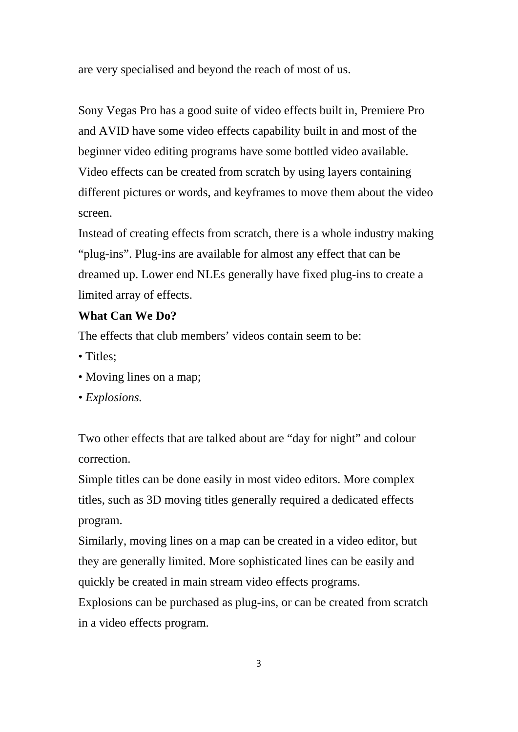are very specialised and beyond the reach of most of us.

Sony Vegas Pro has a good suite of video effects built in, Premiere Pro and AVID have some video effects capability built in and most of the beginner video editing programs have some bottled video available. Video effects can be created from scratch by using layers containing different pictures or words, and keyframes to move them about the video screen.

Instead of creating effects from scratch, there is a whole industry making "plug-ins". Plug-ins are available for almost any effect that can be dreamed up. Lower end NLEs generally have fixed plug-ins to create a limited array of effects.

### **What Can We Do?**

The effects that club members' videos contain seem to be:

- Titles:
- Moving lines on a map;
- *Explosions.*

Two other effects that are talked about are "day for night" and colour correction.

Simple titles can be done easily in most video editors. More complex titles, such as 3D moving titles generally required a dedicated effects program.

Similarly, moving lines on a map can be created in a video editor, but they are generally limited. More sophisticated lines can be easily and quickly be created in main stream video effects programs.

Explosions can be purchased as plug-ins, or can be created from scratch in a video effects program.